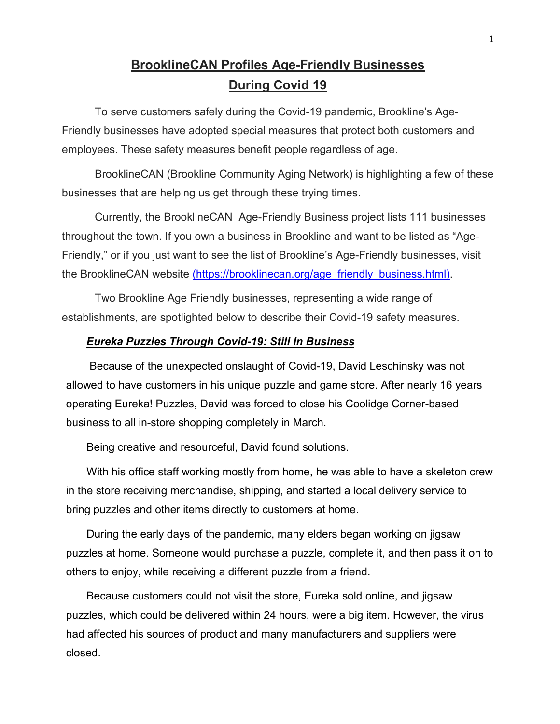## **BrooklineCAN Profiles Age-Friendly Businesses During Covid 19**

 To serve customers safely during the Covid-19 pandemic, Brookline's Age-Friendly businesses have adopted special measures that protect both customers and employees. These safety measures benefit people regardless of age.

 BrooklineCAN (Brookline Community Aging Network) is highlighting a few of these businesses that are helping us get through these trying times.

 Currently, the BrooklineCAN Age-Friendly Business project lists 111 businesses throughout the town. If you own a business in Brookline and want to be listed as "Age-Friendly," or if you just want to see the list of Brookline's Age-Friendly businesses, visit the BrooklineCAN website (https://brooklinecan.org/age\_friendly\_business.html).

 Two Brookline Age Friendly businesses, representing a wide range of establishments, are spotlighted below to describe their Covid-19 safety measures.

## *Eureka Puzzles Through Covid-19: Still In Business*

 Because of the unexpected onslaught of Covid-19, David Leschinsky was not allowed to have customers in his unique puzzle and game store. After nearly 16 years operating Eureka! Puzzles, David was forced to close his Coolidge Corner-based business to all in-store shopping completely in March.

Being creative and resourceful, David found solutions.

With his office staff working mostly from home, he was able to have a skeleton crew in the store receiving merchandise, shipping, and started a local delivery service to bring puzzles and other items directly to customers at home.

During the early days of the pandemic, many elders began working on jigsaw puzzles at home. Someone would purchase a puzzle, complete it, and then pass it on to others to enjoy, while receiving a different puzzle from a friend.

Because customers could not visit the store, Eureka sold online, and jigsaw puzzles, which could be delivered within 24 hours, were a big item. However, the virus had affected his sources of product and many manufacturers and suppliers were closed.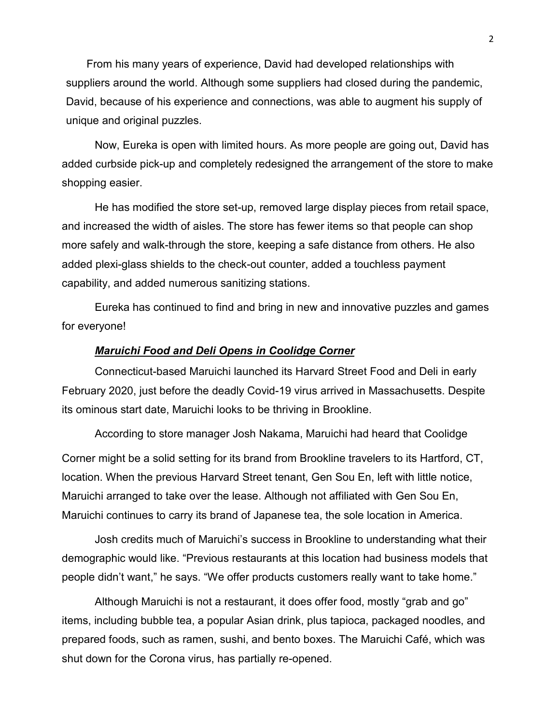From his many years of experience, David had developed relationships with suppliers around the world. Although some suppliers had closed during the pandemic, David, because of his experience and connections, was able to augment his supply of unique and original puzzles.

Now, Eureka is open with limited hours. As more people are going out, David has added curbside pick-up and completely redesigned the arrangement of the store to make shopping easier.

 He has modified the store set-up, removed large display pieces from retail space, and increased the width of aisles. The store has fewer items so that people can shop more safely and walk-through the store, keeping a safe distance from others. He also added plexi-glass shields to the check-out counter, added a touchless payment capability, and added numerous sanitizing stations.

 Eureka has continued to find and bring in new and innovative puzzles and games for everyone!

## *Maruichi Food and Deli Opens in Coolidge Corner*

Connecticut-based Maruichi launched its Harvard Street Food and Deli in early February 2020, just before the deadly Covid-19 virus arrived in Massachusetts. Despite its ominous start date, Maruichi looks to be thriving in Brookline.

According to store manager Josh Nakama, Maruichi had heard that Coolidge

Corner might be a solid setting for its brand from Brookline travelers to its Hartford, CT, location. When the previous Harvard Street tenant, Gen Sou En, left with little notice, Maruichi arranged to take over the lease. Although not affiliated with Gen Sou En, Maruichi continues to carry its brand of Japanese tea, the sole location in America.

 Josh credits much of Maruichi's success in Brookline to understanding what their demographic would like. "Previous restaurants at this location had business models that people didn't want," he says. "We offer products customers really want to take home."

 Although Maruichi is not a restaurant, it does offer food, mostly "grab and go" items, including bubble tea, a popular Asian drink, plus tapioca, packaged noodles, and prepared foods, such as ramen, sushi, and bento boxes. The Maruichi Café, which was shut down for the Corona virus, has partially re-opened.